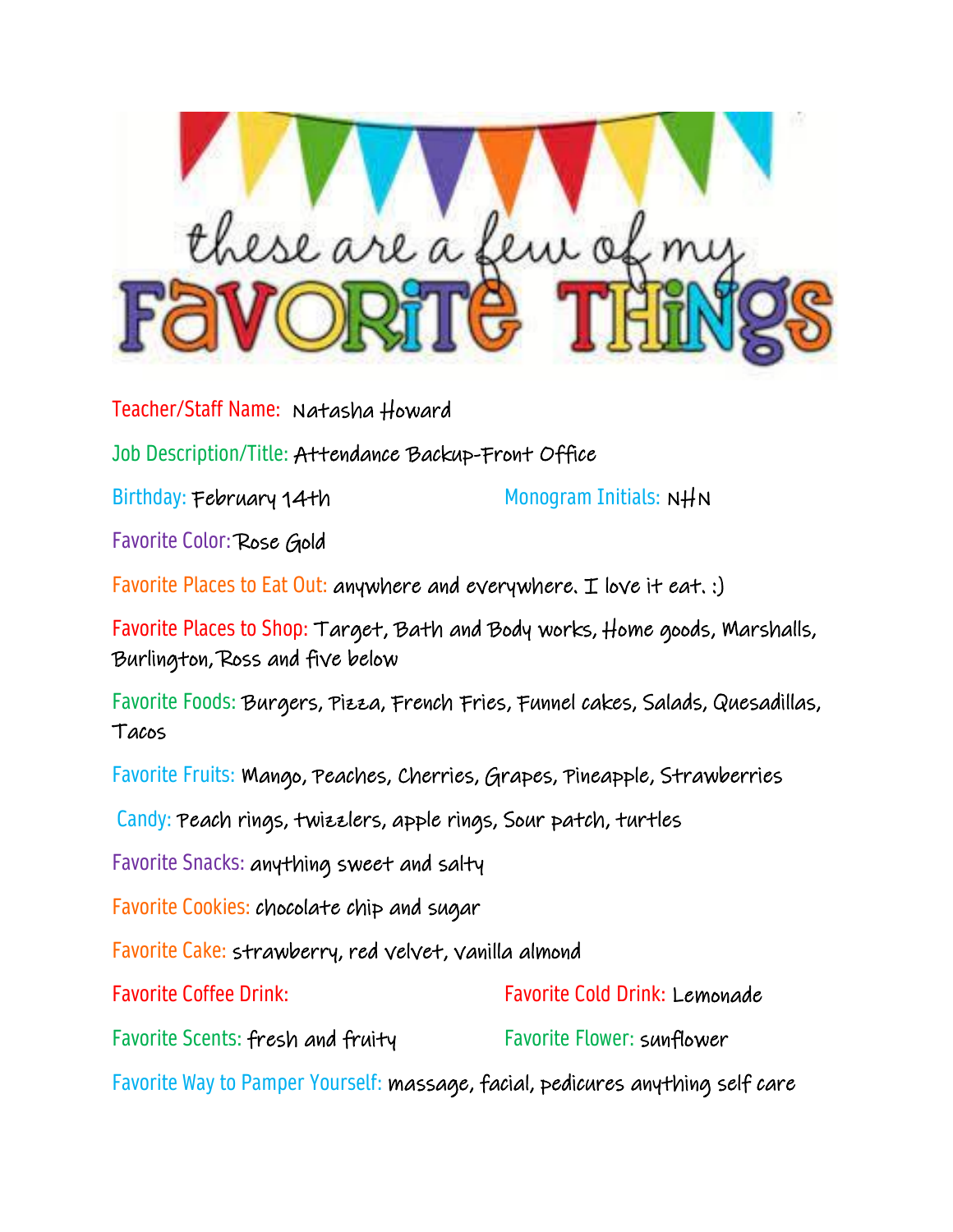

Teacher/Staff Name: Natasha Howard

Job Description/Title: Attendance Backup-Front Office

Birthday: February 14th Monogram Initials: NHN

Favorite Color: Rose Gold

Favorite Places to Eat Out: anywhere and everywhere. I love it eat. :)

Favorite Places to Shop: Target, Bath and Body works, Home goods, Marshalls, Burlington, Ross and five below

Favorite Foods: Burgers, Pizza, French Fries, Funnel cakes, Salads, Quesadillas, Tacos

Favorite Fruits: Mango, Peaches, Cherries, Grapes, Pineapple, Strawberries

Candy: Peach rings, twizzlers, apple rings, Sour patch, turtles

Favorite Snacks: anything sweet and salty

Favorite Cookies: chocolate chip and sugar

Favorite Cake: strawberry, red velvet, vanilla almond

| <b>Favorite Coffee Drink:</b>                                                  | <b>Favorite Cold Drink: Lemonade</b> |
|--------------------------------------------------------------------------------|--------------------------------------|
| Favorite Scents: fresh and fruity                                              | <b>Favorite Flower: sunflower</b>    |
| Favorite Way to Pamper Yourself: massage, facial, pedicures anything self care |                                      |